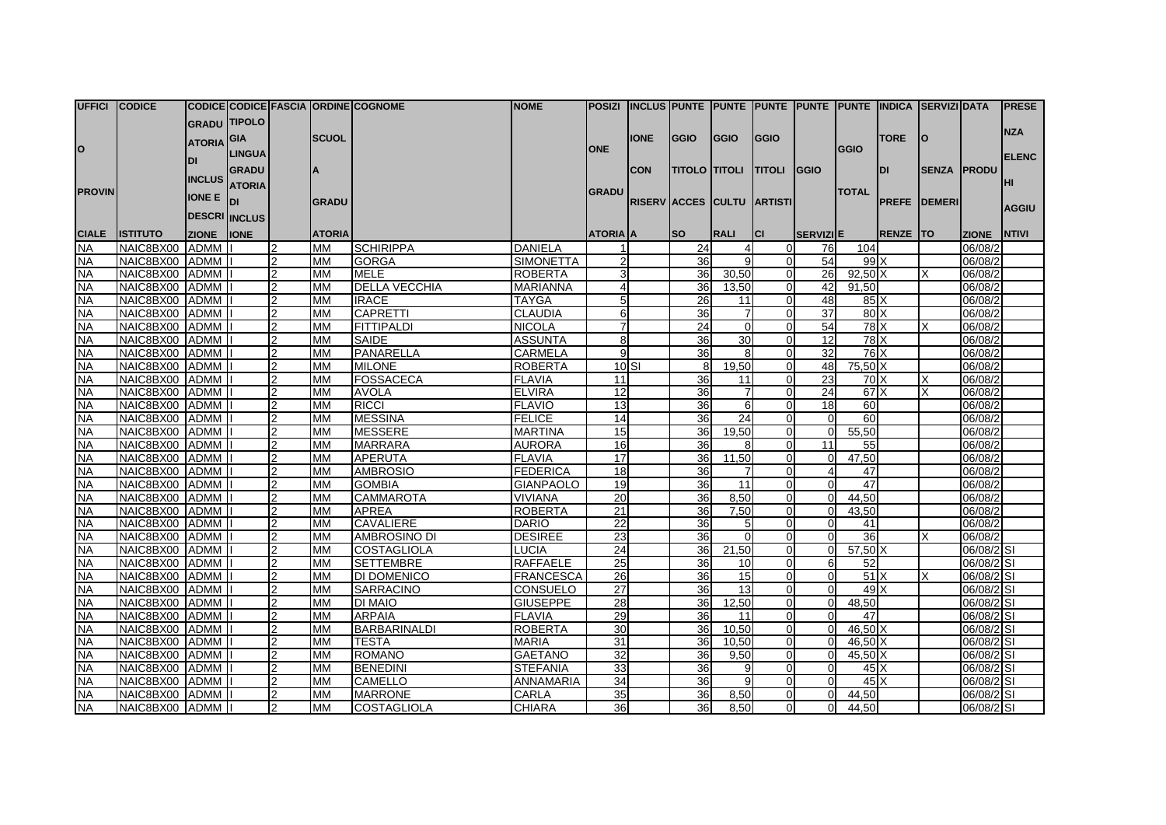| UFFICI CODICE |                 |                   |                      |                |               | CODICE CODICE FASCIA ORDINE COGNOME | <b>NOME</b>      |                 |             |                            |                 |                | POSIZI INCLUS PUNTE PUNTE PUNTE PUNTE PUNTE INDICA SERVIZI DATA |                 |                 |                     |              | <b>PRESE</b> |
|---------------|-----------------|-------------------|----------------------|----------------|---------------|-------------------------------------|------------------|-----------------|-------------|----------------------------|-----------------|----------------|-----------------------------------------------------------------|-----------------|-----------------|---------------------|--------------|--------------|
|               |                 |                   | <b>GRADU TIPOLO</b>  |                |               |                                     |                  |                 |             |                            |                 |                |                                                                 |                 |                 |                     |              |              |
|               |                 |                   |                      |                | <b>SCUOL</b>  |                                     |                  |                 | <b>IONE</b> | <b>GGIO</b>                | <b>GGIO</b>     | <b>GGIO</b>    |                                                                 |                 | <b>TORE</b>     | ΙO                  |              | <b>NZA</b>   |
| lo            |                 | <b>ATORIA</b> GIA |                      |                |               |                                     |                  | <b>ONE</b>      |             |                            |                 |                |                                                                 | <b>GGIO</b>     |                 |                     |              |              |
|               |                 | DI                | <b>LINGUA</b>        |                |               |                                     |                  |                 |             |                            |                 |                |                                                                 |                 |                 |                     |              | <b>ELENC</b> |
|               |                 | <b>INCLUS</b>     | <b>GRADU</b>         |                |               |                                     |                  |                 | <b>CON</b>  | <b>TITOLO TITOLI</b>       |                 | <b>TITOLI</b>  | <b>GGIO</b>                                                     |                 | IDI             | <b>SENZA PRODU</b>  |              |              |
| <b>PROVIN</b> |                 |                   | <b>ATORIA</b>        |                |               |                                     |                  | <b>GRADU</b>    |             |                            |                 |                |                                                                 | <b>TOTAL</b>    |                 |                     |              | HI           |
|               |                 | <b>IONE E</b>     | loı                  |                | <b>GRADU</b>  |                                     |                  |                 |             | RISERV ACCES CULTU ARTISTI |                 |                |                                                                 |                 |                 | <b>PREFE DEMERI</b> |              |              |
|               |                 |                   | <b>DESCRI INCLUS</b> |                |               |                                     |                  |                 |             |                            |                 |                |                                                                 |                 |                 |                     |              | <b>AGGIU</b> |
| <b>CIALE</b>  | <b>ISTITUTO</b> | <b>ZIONE</b>      | <b>IONE</b>          |                | <b>ATORIA</b> |                                     |                  | <b>ATORIA</b> A |             | <b>SO</b>                  | <b>RALI</b>     | ICI.           | SERVIZIE                                                        |                 | <b>RENZE TO</b> |                     | <b>ZIONE</b> | <b>NTIVI</b> |
| NA.           | NAIC8BX00       | ADMM              |                      | $\mathcal{P}$  | <b>MM</b>     | <b>SCHIRIPPA</b>                    | <b>DANIELA</b>   |                 |             | 24                         |                 | $\Omega$       | 76                                                              | 104             |                 |                     | 06/08/2      |              |
| <b>NA</b>     | NAIC8BX00 ADMM  |                   |                      |                | <b>MM</b>     | <b>GORGA</b>                        | <b>SIMONETTA</b> | $\mathcal{P}$   |             | 36                         |                 | $\overline{0}$ | 54                                                              | 99 <sup>1</sup> |                 |                     | 06/08/2      |              |
| NA            | NAIC8BX00 ADMM  |                   |                      | $\overline{2}$ | MМ            | <b>MELE</b>                         | <b>ROBERTA</b>   | 3               |             | 36                         | 30,50           | $\overline{0}$ | 26                                                              | $92,50$ X       |                 | X                   | 06/08/2      |              |
| <b>NA</b>     | NAIC8BX00 ADMM  |                   |                      |                | MМ            | <b>DELLA VECCHIA</b>                | <b>MARIANNA</b>  | 4               |             | 36                         | 13,50           | $\Omega$       | 42                                                              | 91.50           |                 |                     | 06/08/2      |              |
| <b>NA</b>     | NAIC8BX00 ADMM  |                   |                      |                | <b>MM</b>     | <b>IRACE</b>                        | <b>TAYGA</b>     | 5               |             | 26                         | 11              | $\Omega$       | 48                                                              | $85\text{X}$    |                 |                     | 06/08/2      |              |
| <b>NA</b>     | NAIC8BX00 ADMM  |                   |                      | $\overline{2}$ | <b>MM</b>     | <b>CAPRETTI</b>                     | <b>CLAUDIA</b>   | $6 \mid$        |             | 36                         |                 | $\Omega$       | 37                                                              | 80X             |                 |                     | 06/08/2      |              |
| <b>NA</b>     | NAIC8BX00 ADMM  |                   |                      |                | MM            | FITTIPALDI                          | <b>NICOLA</b>    | $\overline{7}$  |             | 24                         | $\Omega$        | $\Omega$       | 54                                                              | $78$ $X$        |                 | X                   | 06/08/2      |              |
| <b>NA</b>     | NAIC8BX00 ADMM  |                   |                      | $\overline{2}$ | MМ            | SAIDE                               | <b>ASSUNTA</b>   | 8               |             | 36                         | 30              | $\Omega$       | 12 <sup>1</sup>                                                 | 78X             |                 |                     | 06/08/2      |              |
| <b>NA</b>     | NAIC8BX00 ADMM  |                   |                      |                | <b>MM</b>     | PANARELLA                           | <b>CARMELA</b>   | $\mathbf{q}$    |             | 36                         | $\mathsf{B}$    | $\Omega$       | 32                                                              | $76$ $X$        |                 |                     | 06/08/2      |              |
| <b>NA</b>     | NAIC8BX00 ADMM  |                   |                      |                | <b>MM</b>     | <b>MILONE</b>                       | <b>ROBERTA</b>   |                 | 10 SI       | 8                          | 19,50           | $\overline{0}$ | 48                                                              | 75,50 X         |                 |                     | 06/08/2      |              |
| NA.           | NAIC8BX00 ADMM  |                   |                      | $\overline{2}$ | MM            | <b>FOSSACECA</b>                    | <b>FLAVIA</b>    | 11              |             | 36                         | 11              | $\Omega$       | 23                                                              | 70X             |                 | X                   | 06/08/2      |              |
| <b>NA</b>     | NAIC8BX00 ADMM  |                   |                      |                | <b>MM</b>     | <b>AVOLA</b>                        | <b>ELVIRA</b>    | $\overline{12}$ |             | 36                         |                 | $\Omega$       | 24                                                              | 67 <sup>1</sup> |                 | $\times$            | 06/08/2      |              |
| <b>NA</b>     | NAIC8BX00 ADMM  |                   |                      | $\overline{2}$ | MМ            | <b>RICCI</b>                        | <b>FLAVIO</b>    | 13              |             | 36                         | 6               | $\overline{0}$ | 18                                                              | 60              |                 |                     | 06/08/2      |              |
| <b>NA</b>     | NAIC8BX00 ADMM  |                   |                      | $\mathcal{P}$  | <b>MM</b>     | <b>MESSINA</b>                      | <b>FELICE</b>    | 14              |             | $\overline{36}$            | 24              | $\Omega$       | $\Omega$                                                        | 60              |                 |                     | 06/08/2      |              |
| <b>NA</b>     | NAIC8BX00 ADMM  |                   |                      |                | MМ            | <b>MESSERE</b>                      | <b>MARTINA</b>   | 15              |             | 36                         | 19.50           | $\Omega$       | $\Omega$                                                        | 55,50           |                 |                     | 06/08/2      |              |
| <b>NA</b>     | NAIC8BX00 ADMM  |                   |                      | $\overline{2}$ | <b>MM</b>     | <b>MARRARA</b>                      | <b>AURORA</b>    | 16              |             | 36                         | 8               | $\Omega$       | 11                                                              | 55              |                 |                     | 06/08/2      |              |
| <b>NA</b>     | NAIC8BX00 ADMM  |                   |                      |                | <b>MM</b>     | <b>APERUTA</b>                      | <b>FLAVIA</b>    | 17              |             | 36                         | 11,50           | $\Omega$       | $\Omega$                                                        | 47,50           |                 |                     | 06/08/2      |              |
| <b>NA</b>     | NAIC8BX00 ADMM  |                   |                      |                | MМ            | <b>AMBROSIO</b>                     | <b>FEDERICA</b>  | 18              |             | 36                         |                 | $\Omega$       | $\overline{4}$                                                  | 47              |                 |                     | 06/08/2      |              |
| <b>NA</b>     | NAIC8BX00 ADMM  |                   |                      |                | <b>MM</b>     | <b>GOMBIA</b>                       | <b>GIANPAOLO</b> | 19              |             | 36                         | $\overline{11}$ | $\Omega$       | $\Omega$                                                        | 47              |                 |                     | 06/08/2      |              |
| <b>NA</b>     | NAIC8BX00 ADMM  |                   |                      | $\overline{2}$ | <b>MM</b>     | <b>CAMMAROTA</b>                    | <b>VIVIANA</b>   | 20              |             | 36                         | 8,50            | $\Omega$       | $\Omega$                                                        | 44,50           |                 |                     | 06/08/2      |              |
| NA            | NAIC8BX00 ADMM  |                   |                      | $\overline{2}$ | MM            | <b>APREA</b>                        | <b>ROBERTA</b>   | $\overline{21}$ |             | 36                         | 7,50            | $\Omega$       | $\Omega$                                                        | 43,50           |                 |                     | 06/08/2      |              |
| <b>NA</b>     | NAIC8BX00 ADMM  |                   |                      |                | MM            | <b>CAVALIERE</b>                    | <b>DARIO</b>     | $\overline{22}$ |             | 36                         |                 | $\Omega$       | $\Omega$                                                        | 41              |                 |                     | 06/08/2      |              |
| <b>NA</b>     | NAIC8BX00 ADMM  |                   |                      |                | MМ            | <b>AMBROSINO DI</b>                 | <b>DESIREE</b>   | $\overline{23}$ |             | 36                         |                 | $\Omega$       | $\Omega$                                                        | 36              |                 |                     | 06/08/2      |              |
| <b>NA</b>     | NAIC8BX00 ADMM  |                   |                      |                | <b>MM</b>     | <b>COSTAGLIOLA</b>                  | LUCIA            | 24              |             | 36                         | 21,50           | $\Omega$       | $\Omega$                                                        | $57,50$ X       |                 |                     | 06/08/2 SI   |              |
| <b>NA</b>     | NAIC8BX00 ADMM  |                   |                      |                | <b>MM</b>     | <b>SETTEMBRE</b>                    | <b>RAFFAELE</b>  | 25              |             | 36                         | 10 <sup>1</sup> | $\Omega$       | 6                                                               | 52              |                 |                     | 06/08/2 SI   |              |
| <b>NA</b>     | NAIC8BX00 ADMM  |                   |                      | $\mathcal{P}$  | MМ            | <b>DI DOMENICO</b>                  | <b>FRANCESCA</b> | 26              |             | 36                         | 15              | $\Omega$       | $\Omega$                                                        | 51X             |                 | x                   | 06/08/2 SI   |              |
| <b>NA</b>     | NAIC8BX00 ADMM  |                   |                      |                | <b>MM</b>     | <b>SARRACINO</b>                    | <b>CONSUELO</b>  | 27              |             | 36                         | 13              | $\Omega$       | $\Omega$                                                        | 49X             |                 |                     | 06/08/2 SI   |              |
| <b>NA</b>     | NAIC8BX00 ADMM  |                   |                      |                | MМ            | <b>DI MAIO</b>                      | <b>GIUSEPPE</b>  | 28              |             | 36                         | 12,50           | $\Omega$       | $\overline{0}$                                                  | 48,50           |                 |                     | 06/08/2 SI   |              |
| <b>NA</b>     | NAIC8BX00 ADMM  |                   |                      |                | <b>MM</b>     | <b>ARPAIA</b>                       | <b>FLAVIA</b>    | 29              |             | 36                         | 11              | $\Omega$       | $\Omega$                                                        | 47              |                 |                     | 06/08/2 SI   |              |
| <b>NA</b>     | NAIC8BX00 ADMM  |                   |                      | $\overline{c}$ | <b>MM</b>     | <b>BARBARINALDI</b>                 | <b>ROBERTA</b>   | 30              |             | 36                         | 10.50           | $\Omega$       | $\Omega$                                                        | $46,50$ X       |                 |                     | 06/08/2 SI   |              |
| <b>NA</b>     | NAIC8BX00 ADMM  |                   |                      |                | <b>MM</b>     | <b>TESTA</b>                        | <b>MARIA</b>     | 31              |             | 36                         | 10.50           | $\Omega$       | $\Omega$                                                        | $46.50\text{X}$ |                 |                     | 06/08/2 SI   |              |
| NA            | NAIC8BX00 ADMM  |                   |                      |                | MM            | <b>ROMANO</b>                       | <b>GAETANO</b>   | 32              |             | 36                         | 9,50            | $\Omega$       | $\Omega$                                                        | $45,50$ X       |                 |                     | 06/08/2 SI   |              |
| <b>NA</b>     | NAIC8BX00 ADMM  |                   |                      |                | MМ            | <b>BENEDINI</b>                     | <b>STEFANIA</b>  | 33              |             | 36                         | q               | $\Omega$       | $\Omega$                                                        | $45\text{X}$    |                 |                     | 06/08/2 SI   |              |
| <b>NA</b>     | NAIC8BX00 ADMM  |                   |                      |                | <b>MM</b>     | <b>CAMELLO</b>                      | <b>ANNAMARIA</b> | 34              |             | 36                         | αI              | $\Omega$       | $\Omega$                                                        | $45\text{X}$    |                 |                     | 06/08/2 SI   |              |
| <b>NA</b>     | NAIC8BX00 ADMM  |                   |                      |                | <b>MM</b>     | <b>MARRONE</b>                      | CARLA            | 35              |             | 36                         | 8,50            | $\Omega$       | $\Omega$                                                        | 44,50           |                 |                     | 06/08/2 SI   |              |
| <b>NA</b>     | NAIC8BX00 ADMM  |                   |                      | $\overline{2}$ | <b>MM</b>     | <b>COSTAGLIOLA</b>                  | <b>CHIARA</b>    | 36              |             | 36                         | 8.50            | $\Omega$       | $\Omega$                                                        | 44.50           |                 |                     | 06/08/2 SI   |              |